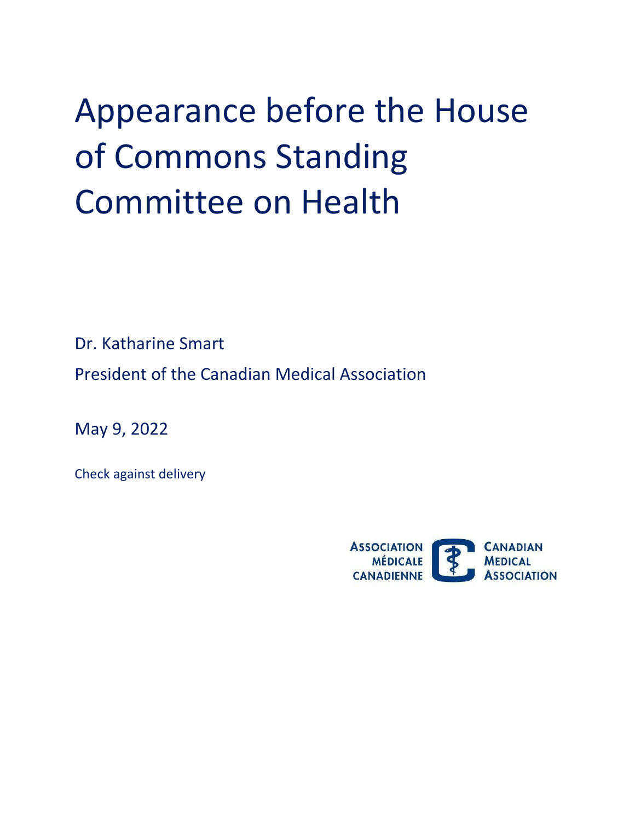## Appearance before the House of Commons Standing Committee on Health

Dr. Katharine Smart

President of the Canadian Medical Association

May 9, 2022

Check against delivery

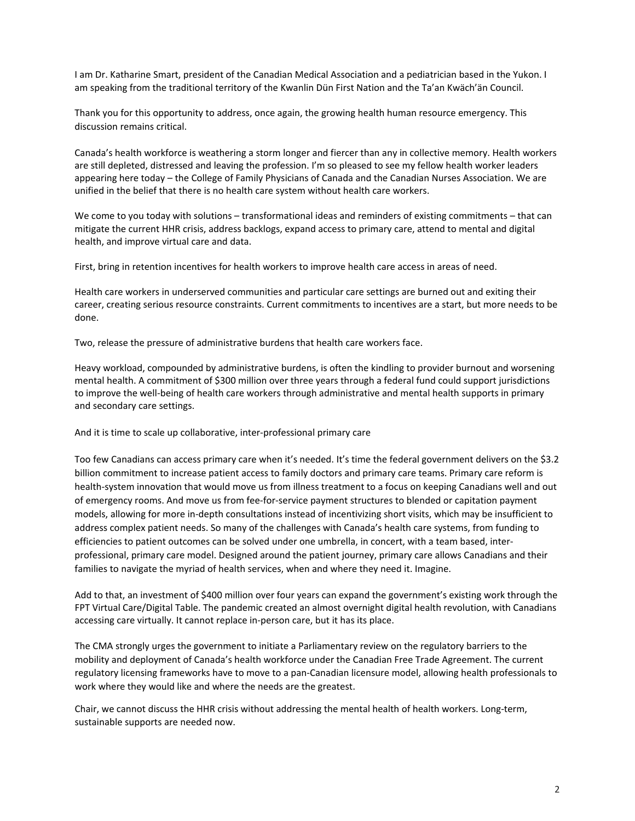I am Dr. Katharine Smart, president of the Canadian Medical Association and a pediatrician based in the Yukon. I am speaking from the traditional territory of the Kwanlin Dün First Nation and the Ta'an Kwäch'än Council.

Thank you for this opportunity to address, once again, the growing health human resource emergency. This discussion remains critical.

Canada's health workforce is weathering a storm longer and fiercer than any in collective memory. Health workers are still depleted, distressed and leaving the profession. I'm so pleased to see my fellow health worker leaders appearing here today – the College of Family Physicians of Canada and the Canadian Nurses Association. We are unified in the belief that there is no health care system without health care workers.

We come to you today with solutions – transformational ideas and reminders of existing commitments – that can mitigate the current HHR crisis, address backlogs, expand access to primary care, attend to mental and digital health, and improve virtual care and data.

First, bring in retention incentives for health workers to improve health care access in areas of need.

Health care workers in underserved communities and particular care settings are burned out and exiting their career, creating serious resource constraints. Current commitments to incentives are a start, but more needs to be done.

Two, release the pressure of administrative burdens that health care workers face.

Heavy workload, compounded by administrative burdens, is often the kindling to provider burnout and worsening mental health. A commitment of \$300 million over three years through a federal fund could support jurisdictions to improve the well-being of health care workers through administrative and mental health supports in primary and secondary care settings.

And it is time to scale up collaborative, inter-professional primary care

Too few Canadians can access primary care when it's needed. It's time the federal government delivers on the \$3.2 billion commitment to increase patient access to family doctors and primary care teams. Primary care reform is health-system innovation that would move us from illness treatment to a focus on keeping Canadians well and out of emergency rooms. And move us from fee-for-service payment structures to blended or capitation payment models, allowing for more in-depth consultations instead of incentivizing short visits, which may be insufficient to address complex patient needs. So many of the challenges with Canada's health care systems, from funding to efficiencies to patient outcomes can be solved under one umbrella, in concert, with a team based, interprofessional, primary care model. Designed around the patient journey, primary care allows Canadians and their families to navigate the myriad of health services, when and where they need it. Imagine.

Add to that, an investment of \$400 million over four years can expand the government's existing work through the FPT Virtual Care/Digital Table. The pandemic created an almost overnight digital health revolution, with Canadians accessing care virtually. It cannot replace in-person care, but it has its place.

The CMA strongly urges the government to initiate a Parliamentary review on the regulatory barriers to the mobility and deployment of Canada's health workforce under the Canadian Free Trade Agreement. The current regulatory licensing frameworks have to move to a pan-Canadian licensure model, allowing health professionals to work where they would like and where the needs are the greatest.

Chair, we cannot discuss the HHR crisis without addressing the mental health of health workers. Long-term, sustainable supports are needed now.